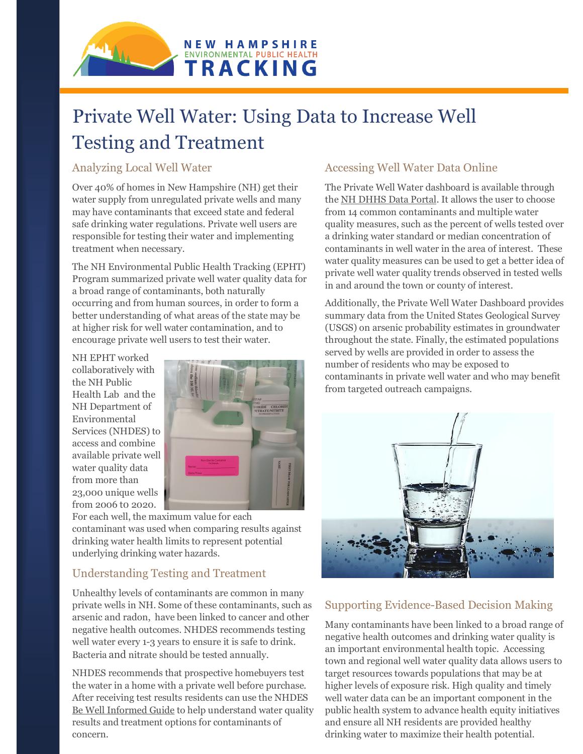

# Private Well Water: Using Data to Increase Well Testing and Treatment

## Analyzing Local Well Water

Over 40% of homes in New Hampshire (NH) get their water supply from unregulated private wells and many may have contaminants that exceed state and federal safe drinking water regulations. Private well users are responsible for testing their water and implementing treatment when necessary.

The NH Environmental Public Health Tracking (EPHT) Program summarized private well water quality data for a broad range of contaminants, both naturally occurring and from human sources, in order to form a better understanding of what areas of the state may be at higher risk for well water contamination, and to encourage private well users to test their water.

NH EPHT worked collaboratively with the NH Public Health Lab and the NH Department of Environmental Services (NHDES) to access and combine available private well water quality data from more than 23,000 unique wells from 2006 t0 2020.



For each well, the maximum value for each contaminant was used when comparing results against drinking water health limits to represent potential underlying drinking water hazards.

## Understanding Testing and Treatment

Unhealthy levels of contaminants are common in many private wells in NH. Some of these contaminants, such as arsenic and radon, have been linked to cancer and other negative health outcomes. NHDES recommends testing well water every 1-3 years to ensure it is safe to drink. Bacteria and nitrate should be tested annually.

NHDES recommends that prospective homebuyers test the water in a home with a private well before purchase. After receiving test results residents can use the NHDES [Be Well Informed Guide](https://www4.des.state.nh.us/DWITool/Welcome.aspx) to help understand water quality results and treatment options for contaminants of concern.

## Accessing Well Water Data Online

The Private Well Water dashboard is available through the [NH DHHS Data Portal.](https://wisdom.dhhs.nh.gov/wisdom/topics.html?topic=drinking-water) It allows the user to choose from 14 common contaminants and multiple water quality measures, such as the percent of wells tested over a drinking water standard or median concentration of contaminants in well water in the area of interest. These water quality measures can be used to get a better idea of private well water quality trends observed in tested wells in and around the town or county of interest.

Additionally, the Private Well Water Dashboard provides summary data from the United States Geological Survey (USGS) on arsenic probability estimates in groundwater throughout the state. Finally, the estimated populations served by wells are provided in order to assess the number of residents who may be exposed to contaminants in private well water and who may benefit from targeted outreach campaigns.



## Supporting Evidence-Based Decision Making

Many contaminants have been linked to a broad range of negative health outcomes and drinking water quality is an important environmental health topic. Accessing town and regional well water quality data allows users to target resources towards populations that may be at higher levels of exposure risk. High quality and timely well water data can be an important component in the public health system to advance health equity initiatives and ensure all NH residents are provided healthy drinking water to maximize their health potential.